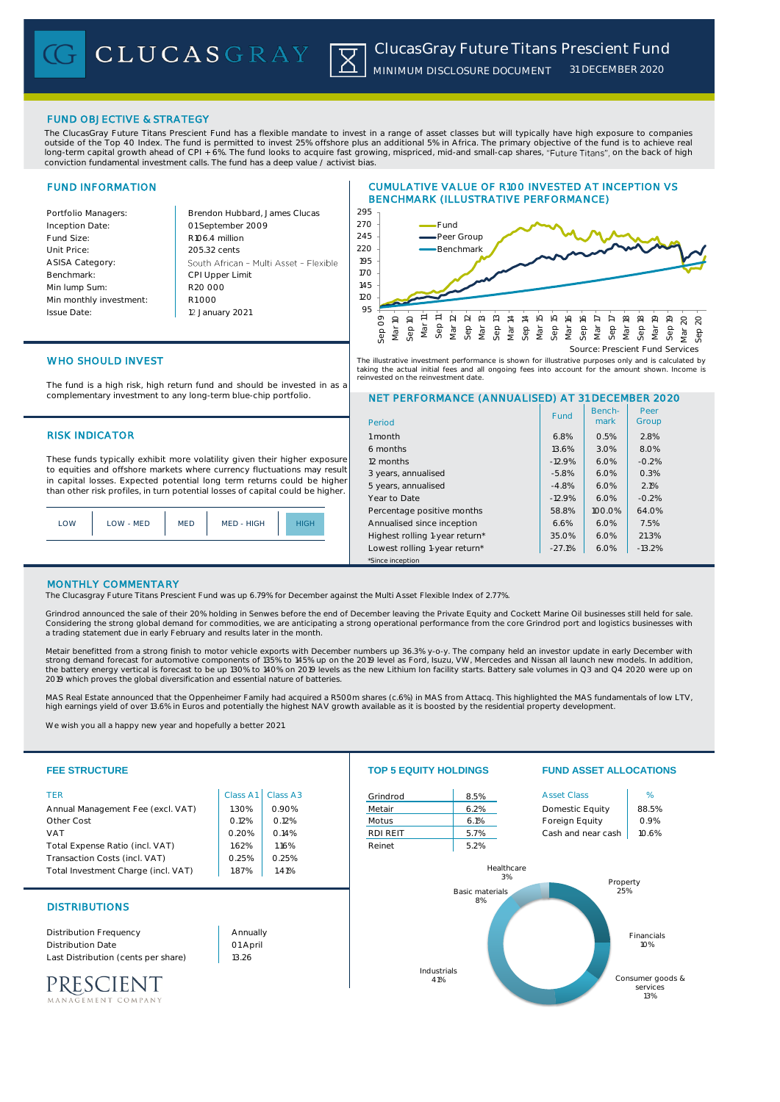# FUND OBJECTIVE & STRATEGY

The ClucasGray Future Titans Prescient Fund has a flexible mandate to invest in a range of asset classes but will typically have high exposure to companies outside of the Top 40 Index. The fund is permitted to invest 25% offshore plus an additional 5% in Africa. The primary objective of the fund is to achieve real long-term capital growth ahead of CPI + 6%. The fund looks to acquire fast growing, mispriced, mid-and small-cap shares, "Future Titans", on the back of high conviction fundamental investment calls. The fund has a deep value / activist bias.

# FUND INFORMATION

Inception Date:

ASISA Category: Benchmark: Min lump Sum:

Issue Date:

Portfolio Managers: **Brendon Hubbard, James Clucas** 01 September 2009 Fund Size: R106.4 million Unit Price: 205.32 cents South African - Multi Asset - Flexible CPI Upper Limit R20 000 Min monthly investment: R1 000 12 January 2021





# WHO SHOULD INVEST

The fund is a high risk, high return fund and should be invested in as a complementary investment to any long-term blue-chip portfolio.

# **RISK INDICATOR**

These funds typically exhibit more volatility given their higher exposure to equities and offshore markets where currency fluctuations may result in capital losses. Expected potential long term returns could be higher than other risk profiles, in turn potential losses of capital could be higher.

| LOW | LOW - MED | <b>MED</b> | MED - HIGH | HIGH |
|-----|-----------|------------|------------|------|
|     |           |            |            |      |

# NET PERFORMANCE (ANNUALISED) AT 31 DECEMBER 2020 The illustrative investment performance is shown for illustrative purposes only and is calculated by taking the actual initial fees and all ongoing fees into account for the amount shown. Income is reinvested on the reinvestment date.

| Period                         | Fund     | Bench-<br>mark | Peer<br>Group |  |  |
|--------------------------------|----------|----------------|---------------|--|--|
| 1 month                        | 6.8%     | 0.5%           | 2.8%          |  |  |
| 6 months                       | 13.6%    | 3.0%           | 8.0%          |  |  |
| 12 months                      | $-12.9%$ | 6.0%           | $-0.2%$       |  |  |
| 3 years, annualised            | $-5.8%$  | 6.0%           | 0.3%          |  |  |
| 5 years, annualised            | $-4.8%$  | 6.0%           | 2.1%          |  |  |
| Year to Date                   | $-12.9%$ | 6.0%           | $-0.2%$       |  |  |
| Percentage positive months     | 58.8%    | 100.0%         | 64.0%         |  |  |
| Annualised since inception     | 6.6%     | 6.0%           | 7.5%          |  |  |
| Highest rolling 1-year return* | 35.0%    | 6.0%           | 21.3%         |  |  |
| Lowest rolling 1-year return*  | $-27.1%$ | 6.0%           | $-13.2%$      |  |  |
| *Since inception               |          |                |               |  |  |

# MONTHLY COMMENTARY

The Clucasgray Future Titans Prescient Fund was up 6.79% for December against the Multi Asset Flexible Index of 2.77%.

Grindrod announced the sale of their 20% holding in Senwes before the end of December leaving the Private Equity and Cockett Marine Oil businesses still held for sale. Considering the strong global demand for commodities, we are anticipating a strong operational performance from the core Grindrod port and logistics businesses with a trading statement due in early February and results later in the month.

Metair benefitted from a strong finish to motor vehicle exports with December numbers up 36.3% y-o-y. The company held an investor update in early December with<br>strong demand forecast for automotive components of 135% to 1 2019 which proves the global diversification and essential nature of batteries.

MAS Real Estate announced that the Oppenheimer Family had acquired a R500m shares (c.6%) in MAS from Attacq. This highlighted the MAS fundamentals of low LTV,<br>high earnings yield of over 13.6% in Euros and potentially the

We wish you all a happy new year and hopefully a better 2021.